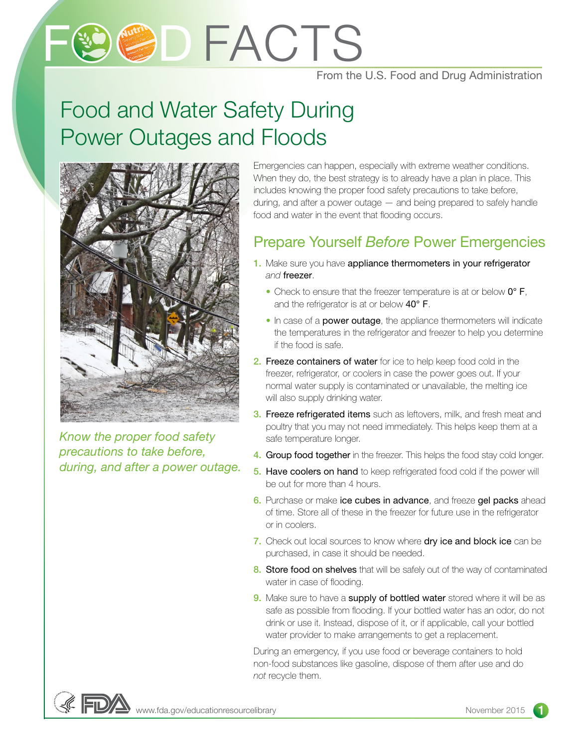# **9CDFACTS**

#### From the U.S. Food and Drug Administration

### Food and Water Safety During Power Outages and Floods



*Know the proper food safety precautions to take before, during, and after a power outage.* Emergencies can happen, especially with extreme weather conditions. When they do, the best strategy is to already have a plan in place. This includes knowing the proper food safety precautions to take before, during, and after a power outage — and being prepared to safely handle food and water in the event that flooding occurs.

#### Prepare Yourself *Before* Power Emergencies

- 1. Make sure you have appliance thermometers in your refrigerator *and* freezer.
	- Check to ensure that the freezer temperature is at or below  $0^{\circ}$  F, and the refrigerator is at or below 40° F.
	- In case of a **power outage**, the appliance thermometers will indicate the temperatures in the refrigerator and freezer to help you determine if the food is safe.
- 2. Freeze containers of water for ice to help keep food cold in the freezer, refrigerator, or coolers in case the power goes out. If your normal water supply is contaminated or unavailable, the melting ice will also supply drinking water.
- **3. Freeze refrigerated items** such as leftovers, milk, and fresh meat and poultry that you may not need immediately. This helps keep them at a safe temperature longer.
- 4. Group food together in the freezer. This helps the food stay cold longer.
- 5. Have coolers on hand to keep refrigerated food cold if the power will be out for more than 4 hours.
- **6.** Purchase or make ice cubes in advance, and freeze gel packs ahead of time. Store all of these in the freezer for future use in the refrigerator or in coolers.
- 7. Check out local sources to know where dry ice and block ice can be purchased, in case it should be needed.
- 8. Store food on shelves that will be safely out of the way of contaminated water in case of flooding.
- 9. Make sure to have a supply of bottled water stored where it will be as safe as possible from flooding. If your bottled water has an odor, do not drink or use it. Instead, dispose of it, or if applicable, call your bottled water provider to make arrangements to get a replacement.

During an emergency, if you use food or beverage containers to hold non-food substances like gasoline, dispose of them after use and do *not* recycle them.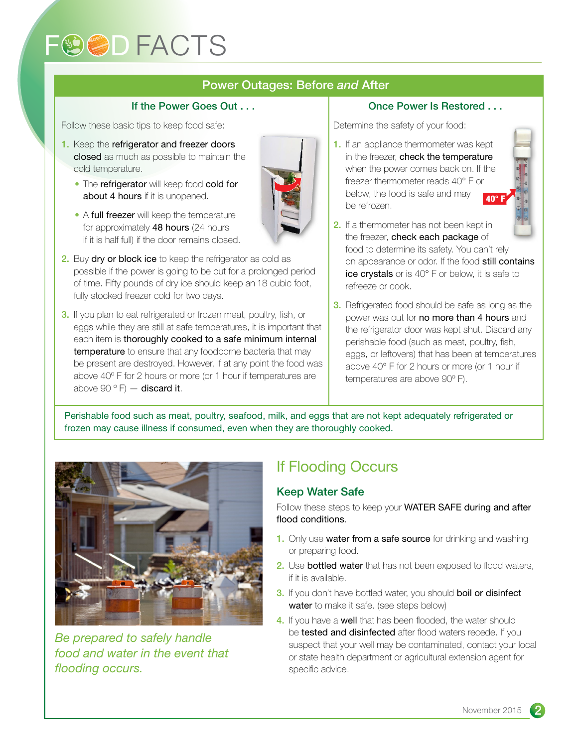## **FOOD FACTS**

#### Power Outages: Before *and* After

#### If the Power Goes Out . . .

Follow these basic tips to keep food safe:

- 1. Keep the refrigerator and freezer doors closed as much as possible to maintain the cold temperature.
	- The refrigerator will keep food cold for about 4 hours if it is unopened.
	- A full freezer will keep the temperature for approximately 48 hours (24 hours if it is half full) if the door remains closed.
- 2. Buy dry or block ice to keep the refrigerator as cold as possible if the power is going to be out for a prolonged period of time. Fifty pounds of dry ice should keep an 18 cubic foot, fully stocked freezer cold for two days.
- **3.** If you plan to eat refrigerated or frozen meat, poultry, fish, or eggs while they are still at safe temperatures, it is important that each item is thoroughly cooked to a safe minimum internal temperature to ensure that any foodborne bacteria that may be present are destroyed. However, if at any point the food was above 40º F for 2 hours or more (or 1 hour if temperatures are above 90 $^{\circ}$  F)  $-$  discard it.

#### Once Power Is Restored . . .

Determine the safety of your food:

- 1. If an appliance thermometer was kept in the freezer, check the temperature when the power comes back on. If the freezer thermometer reads 40° F or below, the food is safe and may be refrozen.
	- 40° F
- 2. If a thermometer has not been kept in the freezer, check each package of food to determine its safety. You can't rely on appearance or odor. If the food still contains ice crystals or is 40° F or below, it is safe to refreeze or cook.
- 3. Refrigerated food should be safe as long as the power was out for no more than 4 hours and the refrigerator door was kept shut. Discard any perishable food (such as meat, poultry, fish, eggs, or leftovers) that has been at temperatures above 40° F for 2 hours or more (or 1 hour if temperatures are above 90º F).

Perishable food such as meat, poultry, seafood, milk, and eggs that are not kept adequately refrigerated or frozen may cause illness if consumed, even when they are thoroughly cooked.



*Be prepared to safely handle food and water in the event that flooding occurs.*

#### If Flooding Occurs

#### Keep Water Safe

Follow these steps to keep your **WATER SAFE during and after** flood conditions.

- 1. Only use water from a safe source for drinking and washing or preparing food.
- 2. Use bottled water that has not been exposed to flood waters, if it is available.
- 3. If you don't have bottled water, you should boil or disinfect water to make it safe. (see steps below)
- 4. If you have a well that has been flooded, the water should be tested and disinfected after flood waters recede. If you suspect that your well may be contaminated, contact your local or state health department or agricultural extension agent for specific advice.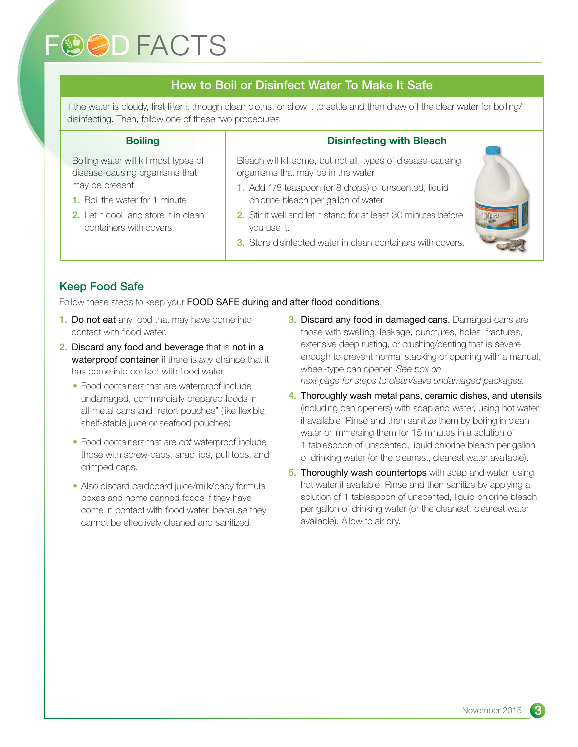## **FOOD FACTS**

#### How to Boil or Disinfect Water To Make It Safe

If the water is cloudy, first filter it through clean cloths, or allow it to settle and then draw off the clear water for boiling/ disinfecting. Then, follow one of these two procedures:

#### **Boiling**

Boiling water will kill most types of disease-causing organisms that may be present.

- 1. Boil the water for 1 minute.
- 2. Let it cool, and store it in clean containers with covers.

#### Disinfecting with Bleach

Bleach will kill some, but not all, types of disease-causing organisms that may be in the water.

- 1. Add 1/8 teaspoon (or 8 drops) of unscented, liquid chlorine bleach per gallon of water.
- 2. Stir it well and let it stand for at least 30 minutes before you use it.
- 3. Store disinfected water in clean containers with covers.



#### Keep Food Safe

Follow these steps to keep your **FOOD SAFE during and after flood conditions**.

- 1. Do not eat any food that may have come into contact with flood water.
- 2. Discard any food and beverage that is not in a waterproof container if there is *any* chance that it has come into contact with flood water.
	- Food containers that are waterproof include undamaged, commercially prepared foods in all-metal cans and "retort pouches" (like flexible, shelf-stable juice or seafood pouches).
	- Food containers that are *not* waterproof include those with screw-caps, snap lids, pull tops, and crimped caps.
	- Also discard cardboard juice/milk/baby formula boxes and home canned foods if they have come in contact with flood water, because they cannot be effectively cleaned and sanitized.
- **3. Discard any food in damaged cans.** Damaged cans are those with swelling, leakage, punctures, holes, fractures, extensive deep rusting, or crushing/denting that is severe enough to prevent normal stacking or opening with a manual, wheel-type can opener. *See box on next page for steps to clean/save undamaged packages.*
- 4. Thoroughly wash metal pans, ceramic dishes, and utensils (including can openers) with soap and water, using hot water if available. Rinse and then sanitize them by boiling in clean water or immersing them for 15 minutes in a solution of 1 tablespoon of unscented, liquid chlorine bleach per gallon of drinking water (or the cleanest, clearest water available).
- 5. Thoroughly wash countertops with soap and water, using hot water if available. Rinse and then sanitize by applying a solution of 1 tablespoon of unscented, liquid chlorine bleach per gallon of drinking water (or the cleanest, clearest water available). Allow to air dry.